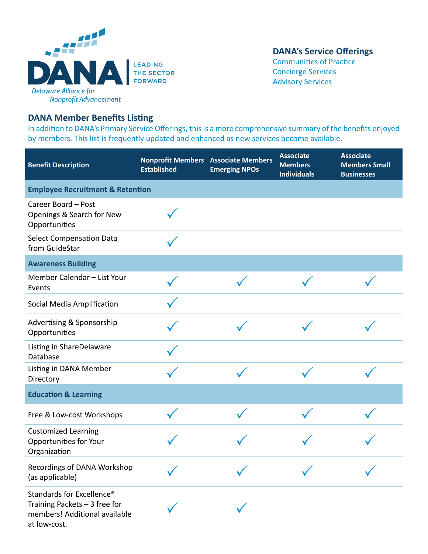

## **DANA's Service Offerings**

Communities of Practice Concierge Services Advisory Services

## **DANA Member Benefits Listing**

In addition to DANA's Primary Service Offerings, this is a more comprehensive summary of the benefits enjoyed by members. This list is frequently updated and enhanced as new services become available.

| <b>Benefit Description</b>                                                                                               | <b>Nonprofit Members Associate Members</b><br><b>Established</b> | <b>Emerging NPOs</b> | <b>Associate</b><br><b>Members</b><br><b>Individuals</b> | <b>Associate</b><br><b>Members Small</b><br><b>Businesses</b> |  |  |
|--------------------------------------------------------------------------------------------------------------------------|------------------------------------------------------------------|----------------------|----------------------------------------------------------|---------------------------------------------------------------|--|--|
| <b>Employee Recruitment &amp; Retention</b>                                                                              |                                                                  |                      |                                                          |                                                               |  |  |
| Career Board - Post<br>Openings & Search for New<br>Opportunities                                                        |                                                                  |                      |                                                          |                                                               |  |  |
| <b>Select Compensation Data</b><br>from GuideStar                                                                        |                                                                  |                      |                                                          |                                                               |  |  |
| <b>Awareness Building</b>                                                                                                |                                                                  |                      |                                                          |                                                               |  |  |
| Member Calendar - List Your<br>Events                                                                                    |                                                                  |                      |                                                          |                                                               |  |  |
| Social Media Amplification                                                                                               |                                                                  |                      |                                                          |                                                               |  |  |
| <b>Advertising &amp; Sponsorship</b><br>Opportunities                                                                    |                                                                  |                      |                                                          |                                                               |  |  |
| Listing in ShareDelaware<br>Database                                                                                     |                                                                  |                      |                                                          |                                                               |  |  |
| Listing in DANA Member<br>Directory                                                                                      |                                                                  |                      |                                                          |                                                               |  |  |
| <b>Education &amp; Learning</b>                                                                                          |                                                                  |                      |                                                          |                                                               |  |  |
| Free & Low-cost Workshops                                                                                                |                                                                  |                      |                                                          |                                                               |  |  |
| <b>Customized Learning</b><br>Opportunities for Your<br>Organization                                                     |                                                                  |                      |                                                          |                                                               |  |  |
| Recordings of DANA Workshop<br>(as applicable)                                                                           |                                                                  |                      |                                                          |                                                               |  |  |
| Standards for Excellence <sup>®</sup><br>Training Packets $-3$ free for<br>members! Additional available<br>at low-cost. |                                                                  |                      |                                                          |                                                               |  |  |